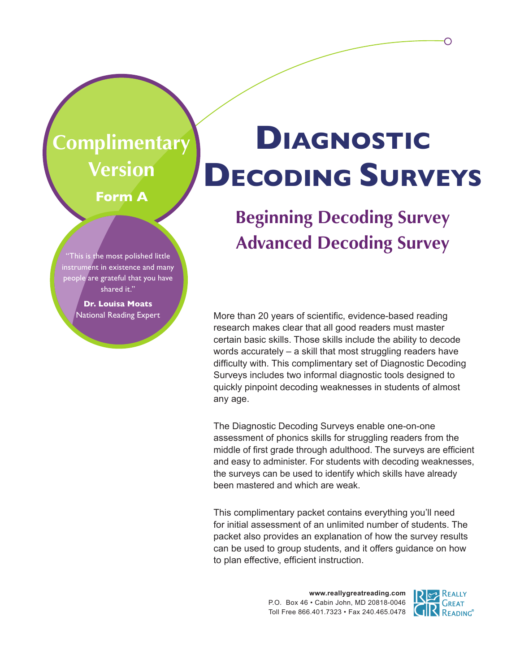### **Complimentary Version**

**Form A**

## **Diagnostic Decoding Surveys**

#### **Beginning Decoding Survey Advanced Decoding Survey**

More than 20 years of scientific, evidence-based reading research makes clear that all good readers must master certain basic skills. Those skills include the ability to decode words accurately – a skill that most struggling readers have difficulty with. This complimentary set of Diagnostic Decoding Surveys includes two informal diagnostic tools designed to quickly pinpoint decoding weaknesses in students of almost any age.

The Diagnostic Decoding Surveys enable one-on-one assessment of phonics skills for struggling readers from the middle of first grade through adulthood. The surveys are efficient and easy to administer. For students with decoding weaknesses, the surveys can be used to identify which skills have already been mastered and which are weak.

This complimentary packet contains everything you'll need for initial assessment of an unlimited number of students. The packet also provides an explanation of how the survey results can be used to group students, and it offers guidance on how to plan effective, efficient instruction.

> **www.reallygreatreading.com** P.O. Box 46 • Cabin John, MD 20818-0046 Toll Free 866.401.7323 • Fax 240.465.0478



∩

instrument in existence and many people are grateful that you have shared it."

"This is the most polished little

**Dr. Louisa Moats** National Reading Expert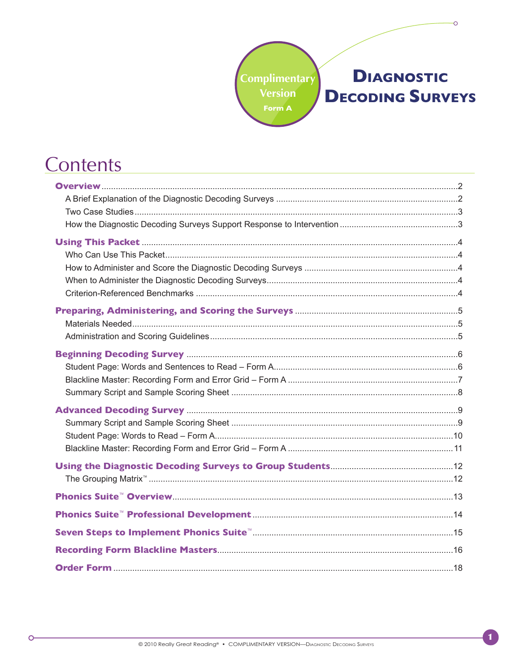#### **Complimentary Version DECODING SURVEYS** Form A

#### Contents

 $\circ$ 

© 2010 Really Great Reading® • COMPLIMENTARY VERSION-DIAGNOSTIC DECODING SURVEYS

Ő

**DIAGNOSTIC**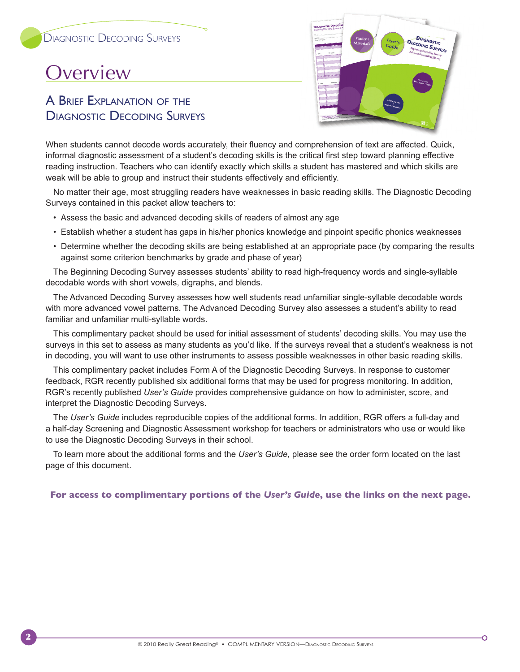#### **Overview**

2

#### A Brief Explanation of the Diagnostic Decoding Surveys



When students cannot decode words accurately, their fluency and comprehension of text are affected. Quick, informal diagnostic assessment of a student's decoding skills is the critical first step toward planning effective reading instruction. Teachers who can identify exactly which skills a student has mastered and which skills are weak will be able to group and instruct their students effectively and efficiently.

No matter their age, most struggling readers have weaknesses in basic reading skills. The Diagnostic Decoding Surveys contained in this packet allow teachers to:

- Assess the basic and advanced decoding skills of readers of almost any age
- Establish whether a student has gaps in his/her phonics knowledge and pinpoint specific phonics weaknesses
- Determine whether the decoding skills are being established at an appropriate pace (by comparing the results against some criterion benchmarks by grade and phase of year)

The Beginning Decoding Survey assesses students' ability to read high-frequency words and single-syllable decodable words with short vowels, digraphs, and blends.

The Advanced Decoding Survey assesses how well students read unfamiliar single-syllable decodable words with more advanced vowel patterns. The Advanced Decoding Survey also assesses a student's ability to read familiar and unfamiliar multi-syllable words.

This complimentary packet should be used for initial assessment of students' decoding skills. You may use the surveys in this set to assess as many students as you'd like. If the surveys reveal that a student's weakness is not in decoding, you will want to use other instruments to assess possible weaknesses in other basic reading skills.

This complimentary packet includes Form A of the Diagnostic Decoding Surveys. In response to customer feedback, RGR recently published six additional forms that may be used for progress monitoring. In addition, RGR's recently published *User's Guide* provides comprehensive guidance on how to administer, score, and interpret the Diagnostic Decoding Surveys.

The *User's Guide* includes reproducible copies of the additional forms. In addition, RGR offers a full-day and a half-day Screening and Diagnostic Assessment workshop for teachers or administrators who use or would like to use the Diagnostic Decoding Surveys in their school.

To learn more about the additional forms and the *User's Guide,* please see the order form located on the last page of this document.

**For access to complimentary portions of the** *User's Guide***, use the links on the next page.**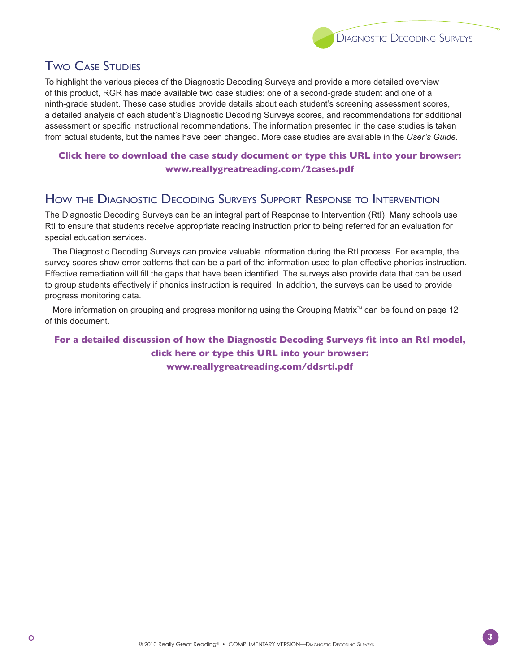

#### **TWO CASE STUDIES**

To highlight the various pieces of the Diagnostic Decoding Surveys and provide a more detailed overview of this product, RGR has made available two case studies: one of a second-grade student and one of a ninth-grade student. These case studies provide details about each student's screening assessment scores, a detailed analysis of each student's Diagnostic Decoding Surveys scores, and recommendations for additional assessment or specific instructional recommendations. The information presented in the case studies is taken from actual students, but the names have been changed. More case studies are available in the *User's Guide.*

#### **Click here to download the case study document or type this URL into your browser: www.reallygreatreading.com/2cases.pdf**

#### How the Diagnostic Decoding Surveys Support Response to Intervention

The Diagnostic Decoding Surveys can be an integral part of Response to Intervention (RtI). Many schools use RtI to ensure that students receive appropriate reading instruction prior to being referred for an evaluation for special education services.

The Diagnostic Decoding Surveys can provide valuable information during the RtI process. For example, the survey scores show error patterns that can be a part of the information used to plan effective phonics instruction. Effective remediation will fill the gaps that have been identified. The surveys also provide data that can be used to group students effectively if phonics instruction is required. In addition, the surveys can be used to provide progress monitoring data.

More information on grouping and progress monitoring using the Grouping Matrix™ can be found on page 12 of this document.

#### **For a detailed discussion of how the Diagnostic Decoding Surveys fit into an RtI model, click here or type this URL into your browser: www.reallygreatreading.com/ddsrti.pdf**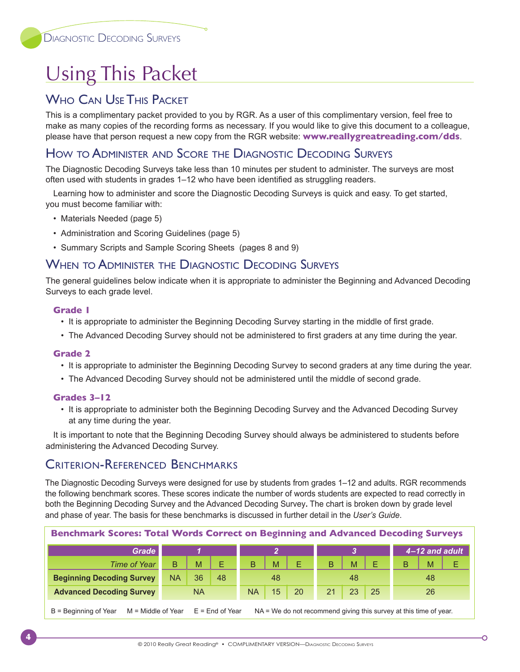#### **Using This Packet**

#### WHO CAN USE THIS PACKET

This is a complimentary packet provided to you by RGR. As a user of this complimentary version, feel free to make as many copies of the recording forms as necessary. If you would like to give this document to a colleague, please have that person request a new copy from the RGR website: **www.reallygreatreading.com/dds**.

#### How to Administer and Score the Diagnostic Decoding Surveys

The Diagnostic Decoding Surveys take less than 10 minutes per student to administer. The surveys are most often used with students in grades 1–12 who have been identified as struggling readers.

Learning how to administer and score the Diagnostic Decoding Surveys is quick and easy. To get started, you must become familiar with:

- Materials Needed (page 5)
- Administration and Scoring Guidelines (page 5)
- Summary Scripts and Sample Scoring Sheets (pages 8 and 9)

#### When to Administer the Diagnostic Decoding Surveys

The general guidelines below indicate when it is appropriate to administer the Beginning and Advanced Decoding Surveys to each grade level.

#### **Grade 1**

- It is appropriate to administer the Beginning Decoding Survey starting in the middle of first grade.
- The Advanced Decoding Survey should not be administered to first graders at any time during the year.

#### **Grade 2**

- It is appropriate to administer the Beginning Decoding Survey to second graders at any time during the year.
- The Advanced Decoding Survey should not be administered until the middle of second grade.

#### **Grades 3–12**

• It is appropriate to administer both the Beginning Decoding Survey and the Advanced Decoding Survey at any time during the year.

It is important to note that the Beginning Decoding Survey should always be administered to students before administering the Advanced Decoding Survey.

#### Criterion-Referenced Benchmarks

The Diagnostic Decoding Surveys were designed for use by students from grades 1–12 and adults. RGR recommends the following benchmark scores. These scores indicate the number of words students are expected to read correctly in both the Beginning Decoding Survey and the Advanced Decoding Survey**.** The chart is broken down by grade level and phase of year. The basis for these benchmarks is discussed in further detail in the *User's Guide*.

| <b>Benchmark Scores: Total Words Correct on Beginning and Advanced Decoding Surveys</b> |           |           |                   |           |    |                                                                     |    |    |    |                |   |
|-----------------------------------------------------------------------------------------|-----------|-----------|-------------------|-----------|----|---------------------------------------------------------------------|----|----|----|----------------|---|
| Grade                                                                                   |           |           |                   |           |    |                                                                     |    |    |    | 4-12 and adult |   |
| Time of Year                                                                            | B         | M         | Е                 | B         | M  | Е                                                                   | B  | M  | E  | M              | Е |
| <b>Beginning Decoding Survey</b>                                                        | <b>NA</b> | 36        | 48                |           | 48 |                                                                     |    | 48 |    | 48             |   |
| <b>Advanced Decoding Survey</b>                                                         |           | <b>NA</b> |                   | <b>NA</b> | 15 | 20                                                                  | 21 | 23 | 25 | 26             |   |
| $B =$ Beginning of Year<br>$M =$ Middle of Year                                         |           |           | $E =$ End of Year |           |    | $NA = We$ do not recommend giving this survey at this time of year. |    |    |    |                |   |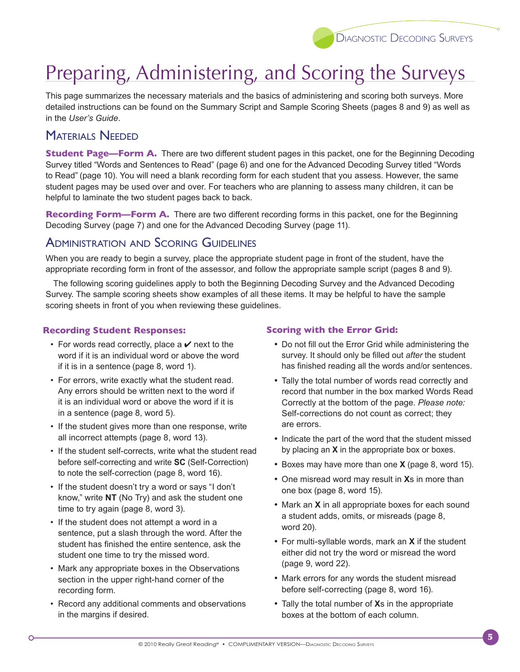

#### Preparing, Administering, and Scoring the Surveys

This page summarizes the necessary materials and the basics of administering and scoring both surveys. More detailed instructions can be found on the Summary Script and Sample Scoring Sheets (pages 8 and 9) as well as in the *User's Guide*.

#### Materials Needed

**Student Page—Form A.** There are two different student pages in this packet, one for the Beginning Decoding Survey titled "Words and Sentences to Read" (page 6) and one for the Advanced Decoding Survey titled "Words to Read" (page 10). You will need a blank recording form for each student that you assess. However, the same student pages may be used over and over. For teachers who are planning to assess many children, it can be helpful to laminate the two student pages back to back.

**Recording Form—Form A.** There are two different recording forms in this packet, one for the Beginning Decoding Survey (page 7) and one for the Advanced Decoding Survey (page 11).

#### Administration and Scoring Guidelines

When you are ready to begin a survey, place the appropriate student page in front of the student, have the appropriate recording form in front of the assessor, and follow the appropriate sample script (pages 8 and 9).

The following scoring guidelines apply to both the Beginning Decoding Survey and the Advanced Decoding Survey. The sample scoring sheets show examples of all these items. It may be helpful to have the sample scoring sheets in front of you when reviewing these guidelines.

#### **Recording Student Responses:**

- For words read correctly, place a  $\vee$  next to the word if it is an individual word or above the word if it is in a sentence (page 8, word 1).
- For errors, write exactly what the student read. Any errors should be written next to the word if it is an individual word or above the word if it is in a sentence (page 8, word 5).
- If the student gives more than one response, write all incorrect attempts (page 8, word 13).
- If the student self-corrects, write what the student read before self-correcting and write **SC** (Self‑Correction) to note the self-correction (page 8, word 16).
- If the student doesn't try a word or says "I don't know," write **NT** (No Try) and ask the student one time to try again (page 8, word 3).
- If the student does not attempt a word in a sentence, put a slash through the word. After the student has finished the entire sentence, ask the student one time to try the missed word.
- Mark any appropriate boxes in the Observations section in the upper right-hand corner of the recording form.
- Record any additional comments and observations in the margins if desired.

 $\bigcap$ 

#### **Scoring with the Error Grid:**

- Do not fill out the Error Grid while administering the survey. It should only be filled out *after* the student has finished reading all the words and/or sentences.
- Tally the total number of words read correctly and record that number in the box marked Words Read Correctly at the bottom of the page. *Please note:* Self-corrections do not count as correct; they are errors.
- Indicate the part of the word that the student missed by placing an **X** in the appropriate box or boxes.
- • Boxes may have more than one **X** (page 8, word 15).
- One misread word may result in Xs in more than one box (page 8, word 15).
- Mark an **X** in all appropriate boxes for each sound a student adds, omits, or misreads (page 8, word 20).
- For multi-syllable words, mark an **X** if the student either did not try the word or misread the word (page 9, word 22).
- Mark errors for any words the student misread before self-correcting (page 8, word 16).
- Tally the total number of **X**s in the appropriate boxes at the bottom of each column.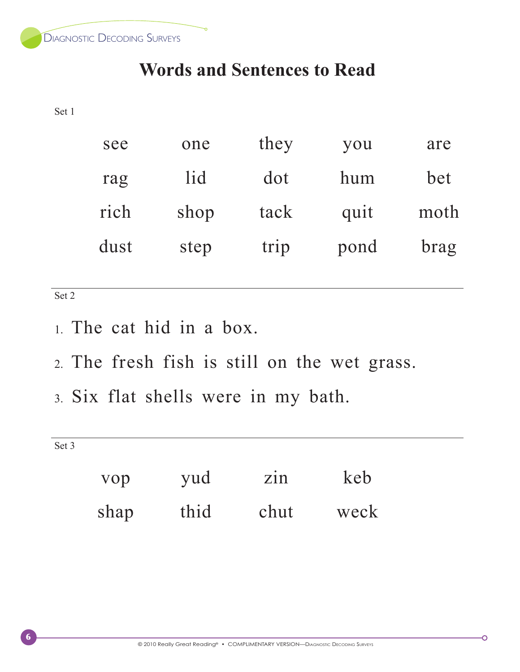Diagnostic Decoding Surveys

#### **Words and Sentences to Read**

Set 1

| see  | one  | they | you  | are  |
|------|------|------|------|------|
| rag  | lid  | dot  | hum  | bet  |
| rich | shop | tack | quit | moth |
| dust | step | trip | pond | brag |
|      |      |      |      |      |

Set 2

- 1. The cat hid in a box.
- 2. The fresh fish is still on the wet grass.
- 3. Six flat shells were in my bath.

Set 3

| vop  | yud  | $\overline{z}$ in | keb  |
|------|------|-------------------|------|
| shap | thid | chut              | weck |

Ō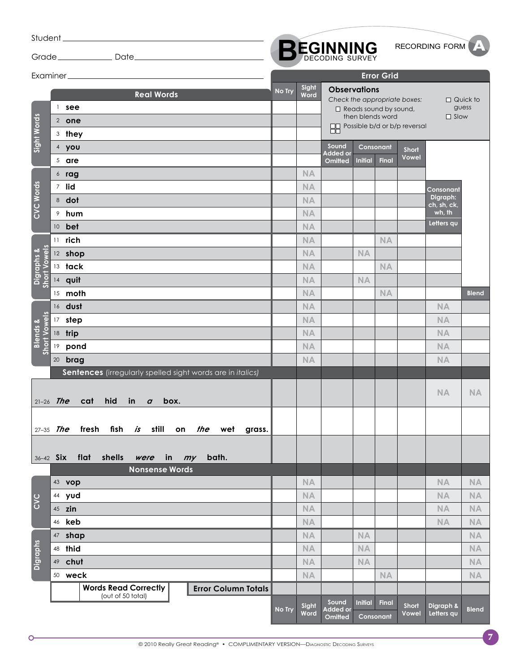| Student.                     |    |                                                                                                                                                                            |        |                 |                                     |                                                  |                   |                                                                        | RECORDING FORM          |                          |
|------------------------------|----|----------------------------------------------------------------------------------------------------------------------------------------------------------------------------|--------|-----------------|-------------------------------------|--------------------------------------------------|-------------------|------------------------------------------------------------------------|-------------------------|--------------------------|
|                              |    |                                                                                                                                                                            |        |                 | <b>BEGINNING</b>                    |                                                  |                   |                                                                        |                         |                          |
|                              |    |                                                                                                                                                                            |        |                 |                                     |                                                  | <b>Error Grid</b> |                                                                        |                         |                          |
| Sight Words                  |    | <b>Real Words</b><br>$1$ see<br>2 one<br>3 they                                                                                                                            | No Try | Sight<br>Word   | <b>Observations</b>                 | $\Box$ Reads sound by sound,<br>then blends word |                   | Check the appropriate boxes:<br><b>OD</b> Possible b/d or b/p reversal | $\square$ Slow          | $\Box$ Quick to<br>guess |
|                              |    | 4 you                                                                                                                                                                      |        |                 | Sound                               | Consonant                                        |                   | <b>Short</b>                                                           |                         |                          |
|                              |    | $5$ are                                                                                                                                                                    |        |                 | Added or<br>Omitted                 | <b>Initial</b>                                   | <b>Final</b>      | <b>Vowel</b>                                                           |                         |                          |
|                              |    | $6$ rag                                                                                                                                                                    |        | <b>NA</b>       |                                     |                                                  |                   |                                                                        |                         |                          |
|                              |    | 7 lid                                                                                                                                                                      |        | <b>NA</b>       |                                     |                                                  |                   |                                                                        | Consonant               |                          |
| CVC Words                    |    | 8 dot                                                                                                                                                                      |        | <b>NA</b>       |                                     |                                                  |                   |                                                                        | Digraph:<br>ch, sh, ck, |                          |
|                              |    | <sup>9</sup> hum                                                                                                                                                           |        | <b>NA</b>       |                                     |                                                  |                   |                                                                        | wh, th                  |                          |
|                              |    | 10 bet                                                                                                                                                                     |        | <b>NA</b>       |                                     |                                                  |                   |                                                                        | Letters qu              |                          |
|                              |    | 11 rich                                                                                                                                                                    |        | <b>NA</b>       |                                     |                                                  | <b>NA</b>         |                                                                        |                         |                          |
|                              |    | 12 shop                                                                                                                                                                    |        | <b>NA</b>       |                                     | NA                                               |                   |                                                                        |                         |                          |
|                              |    | 13 tack                                                                                                                                                                    |        | <b>NA</b>       |                                     |                                                  | <b>NA</b>         |                                                                        |                         |                          |
| Digraphs &<br>Short Vowels   |    | 14 quit                                                                                                                                                                    |        | <b>NA</b>       |                                     | <b>NA</b>                                        |                   |                                                                        |                         |                          |
|                              |    | 15 moth                                                                                                                                                                    |        | <b>NA</b>       |                                     |                                                  | <b>NA</b>         |                                                                        |                         | <b>Blend</b>             |
|                              |    | 16 dust                                                                                                                                                                    |        | <b>NA</b>       |                                     |                                                  |                   |                                                                        | <b>NA</b>               |                          |
| Short Vowels                 |    | 17 step                                                                                                                                                                    |        | <b>NA</b>       |                                     |                                                  |                   |                                                                        | <b>NA</b>               |                          |
| <b>Blends &amp;</b>          |    | 18 trip                                                                                                                                                                    |        | <b>NA</b>       |                                     |                                                  |                   |                                                                        | <b>NA</b>               |                          |
|                              | 19 | pond                                                                                                                                                                       |        | <b>NA</b>       |                                     |                                                  |                   |                                                                        | <b>NA</b>               |                          |
|                              |    | 20 brag                                                                                                                                                                    |        | <b>NA</b>       |                                     |                                                  |                   |                                                                        | <b>NA</b>               |                          |
| $21-26$ The<br>$27 - 35$ The |    | Sentences (irregularly spelled sight words are in italics)<br>hid<br>cat<br>in<br>box.<br>$\boldsymbol{a}$<br><i>is</i> still<br>fresh<br>fish<br>on <i>the</i> wet grass. |        |                 |                                     |                                                  |                   |                                                                        | <b>NA</b>               | <b>NA</b>                |
| 36-42 Six                    |    | flat shells<br>in<br>bath.<br>were<br>my<br><b>Nonsense Words</b>                                                                                                          |        |                 |                                     |                                                  |                   |                                                                        |                         |                          |
|                              |    | 43 vop<br>44 yud                                                                                                                                                           |        | NA<br><b>NA</b> |                                     |                                                  |                   |                                                                        | NA<br><b>NA</b>         | <b>NA</b><br><b>NA</b>   |
| CVC                          |    | 45 zin                                                                                                                                                                     |        | <b>NA</b>       |                                     |                                                  |                   |                                                                        | <b>NA</b>               | <b>NA</b>                |
|                              |    | 46 <b>keb</b>                                                                                                                                                              |        | <b>NA</b>       |                                     |                                                  |                   |                                                                        | <b>NA</b>               | NA                       |
|                              |    | 47 shap                                                                                                                                                                    |        | <b>NA</b>       |                                     | NA                                               |                   |                                                                        |                         | <b>NA</b>                |
|                              |    | 48 thid                                                                                                                                                                    |        | <b>NA</b>       |                                     | <b>NA</b>                                        |                   |                                                                        |                         | <b>NA</b>                |
| <b>Digraphs</b>              |    | 49 chut                                                                                                                                                                    |        | <b>NA</b>       |                                     | NA                                               |                   |                                                                        |                         | <b>NA</b>                |
|                              |    | 50 weck                                                                                                                                                                    |        | <b>NA</b>       |                                     |                                                  | <b>NA</b>         |                                                                        |                         | NA                       |
|                              |    | <b>Words Read Correctly</b><br><b>Error Column Totals</b><br>(out of 50 total)                                                                                             |        |                 |                                     |                                                  |                   |                                                                        |                         |                          |
|                              |    |                                                                                                                                                                            | No Try | Sight<br>Word   | Sound<br><b>Added or</b><br>Omitted | <b>Initial</b><br>Consonant                      | Final             | <b>Short</b><br>Vowel                                                  | Digraph &<br>Letters qu | <b>Blend</b>             |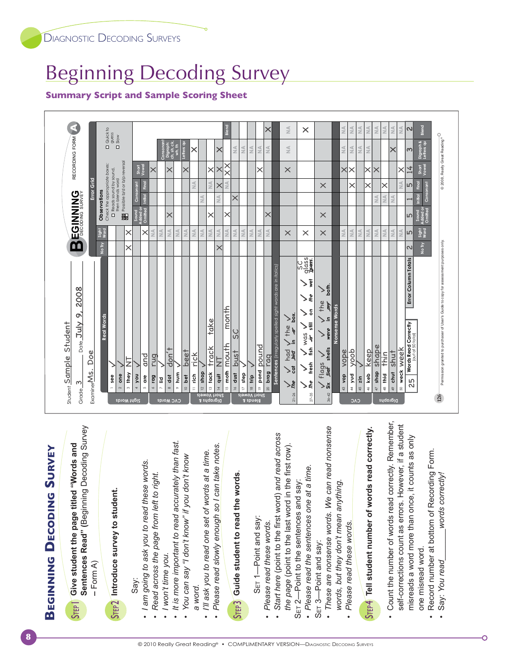#### Beginning Decoding Survey

#### **Summary Script and Sample Scoring Sheet**



| <b>SURVEY</b><br><b>DECODING</b><br><b>BEGINNING</b>                                                                                                                                                                                                                           |
|--------------------------------------------------------------------------------------------------------------------------------------------------------------------------------------------------------------------------------------------------------------------------------|
| Sentences Read" (Beginning Decoding Survey<br>Give student the page titled "Words and<br>$-Form(A)$<br><b>STEP</b>                                                                                                                                                             |
| Introduce survey to student.<br>STEP <sub>2</sub>                                                                                                                                                                                                                              |
| I am going to ask you to read these words.<br>Read across the page from left to right.<br>I won't time you.<br>Say:<br>$\bullet$                                                                                                                                               |
| It is more important to read accurately than fast.<br>You can say "I don't know" if you don't know                                                                                                                                                                             |
| Please read slowly enough so I can take notes.<br>I'll ask you to read one set of words at a time.<br>a word.<br>٠                                                                                                                                                             |
| Guide student to read the words.<br>STEP3                                                                                                                                                                                                                                      |
| Start here (point to the first word) and read across<br>the page (point to the last word in the first row).<br>Please read the sentences one at a time.<br>-Point to the sentences and say:<br>-Point and say:<br>Please read these words.<br>$SET 1-$<br>$SET2-$<br>$\bullet$ |
| These are nonsense words. We can read nonsense<br>words, but they don't mean anything.<br>Please read these words.<br>SET 3-Point and say:                                                                                                                                     |
| Tell student number of words read correctly.<br>S <sub>TEP4</sub>                                                                                                                                                                                                              |
| Count the number of words read correctly. Remember,<br>self-corrections count as errors. However, if a student<br>misreads a word more than once, it counts as only<br>one misread word.<br>$\bullet$                                                                          |
| Record number at bottom of Recording Form.<br>words correctly!<br>Say: You read<br>$\bullet$<br>٠                                                                                                                                                                              |

Ő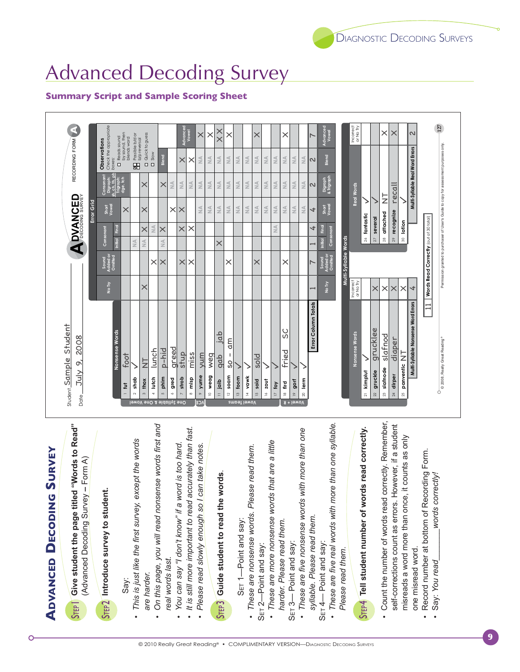#### © 2010 Really Great Reading® • COMPLIMENTARY VERSION-DIAGNOSTIC DECODING SURVEYS

# **ADVANCED DECODING SURVEY**

Give student the page titled "Words to Read" (Advanced Decoding Survey - Form A)  $S$ rep $\overline{S}$ 

# Introduce survey to student. STEP<sub>2</sub>

Say:

- This is just like the first survey, except the words are harder.
- On this page, you will read nonsense words first and real words last.
- You can say "I don't know" if a word is too hard.
- It is still more important to read accurately than fast.
	- Please read slowly enough so I can take notes.

# Guide student to read the words. STEP3

- SET 1-Point and say:
- · These are nonsense words. Please read them. SET 2-Point and say:
- · These are more nonsense words that are a little
	- harder. Please read them. SET 3— Point and say:
		-
- · These are five nonsense words with more than one syllable. Please read them.
	- S<sub>ET</sub> 4— Point and say:
- These are five real words with more than one syllable Please read them.

# Sree Tell student number of words read correctly.

- Count the number of words read correctly. Remember, self-corrections count as errors. However, if a student misreads a word more than once, it counts as only one misread word.
	- Record number at bottom of Recording Form. words correctly! Say: You read



#### **DIAGNOSTIC DECODING SURVEYS**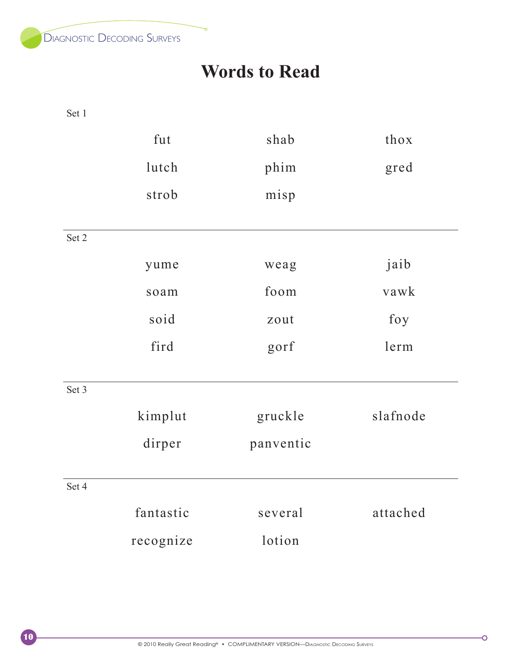

#### **Words to Read**

n

Set 1

 $\sqrt{10}$ 

|       | fut       | shab      | thox     |
|-------|-----------|-----------|----------|
|       | lutch     | phim      | gred     |
|       | strob     | misp      |          |
| Set 2 |           |           |          |
|       | yume      | weag      | jaib     |
|       | soam      | foom      | vawk     |
|       | soid      | zout      | foy      |
|       | fird      | gorf      | lerm     |
| Set 3 |           |           |          |
|       | kimplut   | gruckle   | slafnode |
|       | dirper    | panventic |          |
| Set 4 |           |           |          |
|       | fantastic | several   | attached |
|       | recognize | lotion    |          |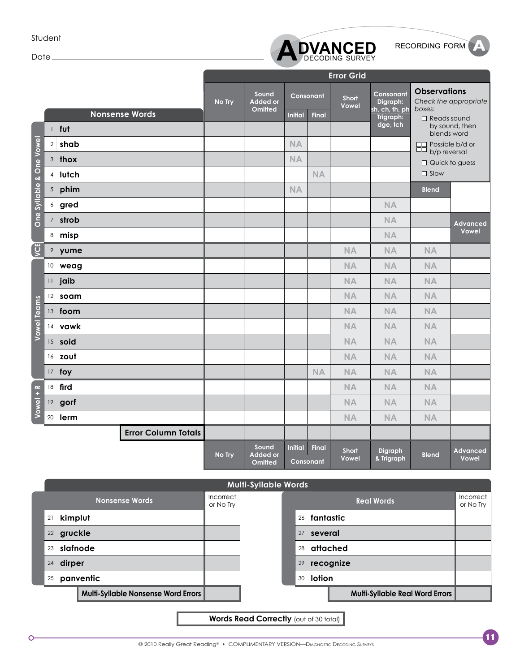Student<sub>\_\_\_\_\_\_\_\_\_\_\_\_\_</sub>

Date\_



|                          |    |                            |        |                                            |                |                    | <b>Error Grid</b>            |                             |                                          |                          |
|--------------------------|----|----------------------------|--------|--------------------------------------------|----------------|--------------------|------------------------------|-----------------------------|------------------------------------------|--------------------------|
|                          |    |                            | No Try | Sound<br><b>Added or</b>                   |                | Consonant          | <b>Short</b><br><b>Vowel</b> | Consonant<br>Digraph:       | <b>Observations</b>                      | Check the appropriate    |
|                          |    | <b>Nonsense Words</b>      |        | <b>Omitted</b>                             | <b>Initial</b> | <b>Final</b>       |                              | sh, ch, th, ph<br>Trigraph: | boxes:<br>$\Box$ Reads sound             |                          |
|                          |    | 1 fut                      |        |                                            |                |                    |                              | dge, tch                    | blends word                              | by sound, then           |
|                          |    | 2 shab                     |        |                                            | <b>NA</b>      |                    |                              |                             | □□ Possible b/d or<br>ŏŏ<br>b/p reversal |                          |
|                          |    | 3 thox                     |        |                                            | <b>NA</b>      |                    |                              |                             | $\Box$ Quick to guess                    |                          |
|                          |    | 4 lutch                    |        |                                            |                | <b>NA</b>          |                              |                             | $\Box$ Slow                              |                          |
| One Syllable & One Vowel |    | 5 phim                     |        |                                            | <b>NA</b>      |                    |                              |                             | <b>Blend</b>                             |                          |
|                          |    | 6 gred                     |        |                                            |                |                    |                              | <b>NA</b>                   |                                          |                          |
|                          |    | 7 strob                    |        |                                            |                |                    |                              | <b>NA</b>                   |                                          | <b>Advanced</b>          |
|                          |    | 8 misp                     |        |                                            |                |                    |                              | <b>NA</b>                   |                                          | Vowel                    |
| <b>ED</b>                |    | 9 yume                     |        |                                            |                |                    | <b>NA</b>                    | <b>NA</b>                   | <b>NA</b>                                |                          |
|                          |    | 10 weag                    |        |                                            |                |                    | <b>NA</b>                    | <b>NA</b>                   | <b>NA</b>                                |                          |
|                          |    | 11 jaib                    |        |                                            |                |                    | <b>NA</b>                    | <b>NA</b>                   | <b>NA</b>                                |                          |
|                          |    | 12 soam                    |        |                                            |                |                    | <b>NA</b>                    | <b>NA</b>                   | <b>NA</b>                                |                          |
|                          |    | 13 foom                    |        |                                            |                |                    | <b>NA</b>                    | <b>NA</b>                   | <b>NA</b>                                |                          |
| <b>Vowel Teams</b>       |    | 14 vawk                    |        |                                            |                |                    | <b>NA</b>                    | <b>NA</b>                   | <b>NA</b>                                |                          |
|                          |    | 15 soid                    |        |                                            |                |                    | <b>NA</b>                    | <b>NA</b>                   | <b>NA</b>                                |                          |
|                          |    | 16 zout                    |        |                                            |                |                    | <b>NA</b>                    | <b>NA</b>                   | <b>NA</b>                                |                          |
|                          |    | 17 foy                     |        |                                            |                | <b>NA</b>          | <b>NA</b>                    | <b>NA</b>                   | <b>NA</b>                                |                          |
|                          |    | 18 fird                    |        |                                            |                |                    | <b>NA</b>                    | <b>NA</b>                   | <b>NA</b>                                |                          |
| Vowel + R                | 19 | gorf                       |        |                                            |                |                    | <b>NA</b>                    | <b>NA</b>                   | <b>NA</b>                                |                          |
|                          |    | 20 <b>lerm</b>             |        |                                            |                |                    | <b>NA</b>                    | <b>NA</b>                   | <b>NA</b>                                |                          |
|                          |    | <b>Error Column Totals</b> |        |                                            |                |                    |                              |                             |                                          |                          |
|                          |    |                            | No Try | Sound<br><b>Added or</b><br><b>Omitted</b> | <b>Initial</b> | Final<br>Consonant | <b>Short</b><br>Vowel        | Digraph<br>& Trigraph       | <b>Blend</b>                             | <b>Advanced</b><br>Vowel |



**Words Read Correctly (out of 30 total)**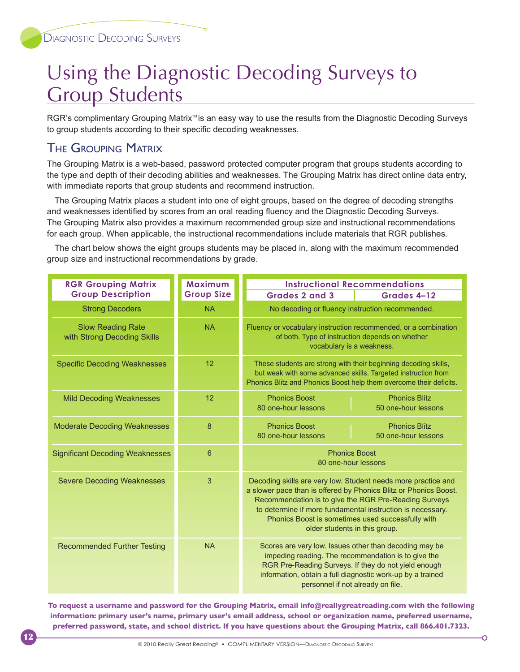#### Using the Diagnostic Decoding Surveys to Group Students

RGR's complimentary Grouping Matrix<sup>™</sup> is an easy way to use the results from the Diagnostic Decoding Surveys to group students according to their specific decoding weaknesses.

#### The Grouping Matrix

12

The Grouping Matrix is a web-based, password protected computer program that groups students according to the type and depth of their decoding abilities and weaknesses. The Grouping Matrix has direct online data entry, with immediate reports that group students and recommend instruction.

The Grouping Matrix places a student into one of eight groups, based on the degree of decoding strengths and weaknesses identified by scores from an oral reading fluency and the Diagnostic Decoding Surveys. The Grouping Matrix also provides a maximum recommended group size and instructional recommendations for each group. When applicable, the instructional recommendations include materials that RGR publishes.

The chart below shows the eight groups students may be placed in, along with the maximum recommended group size and instructional recommendations by grade.

| <b>RGR Grouping Matrix</b>                              | Maximum           | <b>Instructional Recommendations</b>                                                                                                                                                                                                                                                                                                           |
|---------------------------------------------------------|-------------------|------------------------------------------------------------------------------------------------------------------------------------------------------------------------------------------------------------------------------------------------------------------------------------------------------------------------------------------------|
| <b>Group Description</b>                                | <b>Group Size</b> | <b>Grades 2 and 3</b><br>Grades 4-12                                                                                                                                                                                                                                                                                                           |
| <b>Strong Decoders</b>                                  | <b>NA</b>         | No decoding or fluency instruction recommended.                                                                                                                                                                                                                                                                                                |
| <b>Slow Reading Rate</b><br>with Strong Decoding Skills | <b>NA</b>         | Fluency or vocabulary instruction recommended, or a combination<br>of both. Type of instruction depends on whether<br>vocabulary is a weakness.                                                                                                                                                                                                |
| <b>Specific Decoding Weaknesses</b>                     | 12                | These students are strong with their beginning decoding skills,<br>but weak with some advanced skills. Targeted instruction from<br>Phonics Blitz and Phonics Boost help them overcome their deficits.                                                                                                                                         |
| <b>Mild Decoding Weaknesses</b>                         | 12                | <b>Phonics Boost</b><br><b>Phonics Blitz</b><br>80 one-hour lessons<br>50 one-hour lessons                                                                                                                                                                                                                                                     |
| <b>Moderate Decoding Weaknesses</b>                     | 8                 | <b>Phonics Boost</b><br><b>Phonics Blitz</b><br>80 one-hour lessons<br>50 one-hour lessons                                                                                                                                                                                                                                                     |
| <b>Significant Decoding Weaknesses</b>                  | 6                 | <b>Phonics Boost</b><br>80 one-hour lessons                                                                                                                                                                                                                                                                                                    |
| <b>Severe Decoding Weaknesses</b>                       | 3                 | Decoding skills are very low. Student needs more practice and<br>a slower pace than is offered by Phonics Blitz or Phonics Boost.<br>Recommendation is to give the RGR Pre-Reading Surveys<br>to determine if more fundamental instruction is necessary.<br>Phonics Boost is sometimes used successfully with<br>older students in this group. |
| <b>Recommended Further Testing</b>                      | <b>NA</b>         | Scores are very low. Issues other than decoding may be<br>impeding reading. The recommendation is to give the<br>RGR Pre-Reading Surveys. If they do not yield enough<br>information, obtain a full diagnostic work-up by a trained<br>personnel if not already on file.                                                                       |

**To request a username and password for the Grouping Matrix, email info@reallygreatreading.com with the following information: primary user's name, primary user's email address, school or organization name, preferred username, preferred password, state, and school district. If you have questions about the Grouping Matrix, call 866.401.7323.**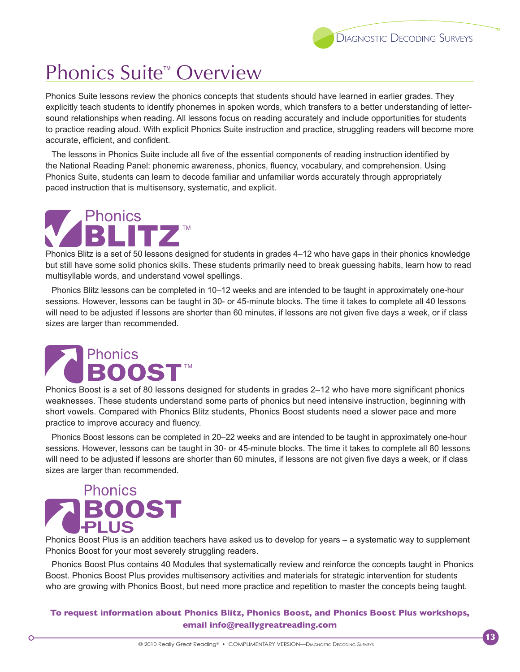13

#### Phonics Suite<sup>™</sup> Overview

Phonics Suite lessons review the phonics concepts that students should have learned in earlier grades. They explicitly teach students to identify phonemes in spoken words, which transfers to a better understanding of lettersound relationships when reading. All lessons focus on reading accurately and include opportunities for students to practice reading aloud. With explicit Phonics Suite instruction and practice, struggling readers will become more accurate, efficient, and confident.

The lessons in Phonics Suite include all five of the essential components of reading instruction identified by the National Reading Panel: phonemic awareness, phonics, fluency, vocabulary, and comprehension. Using Phonics Suite, students can learn to decode familiar and unfamiliar words accurately through appropriately paced instruction that is multisensory, systematic, and explicit.

#### TM Phonics

Phonics Blitz is a set of 50 lessons designed for students in grades 4–12 who have gaps in their phonics knowledge but still have some solid phonics skills. These students primarily need to break guessing habits, learn how to read multisyllable words, and understand vowel spellings.

Phonics Blitz lessons can be completed in 10–12 weeks and are intended to be taught in approximately one-hour sessions. However, lessons can be taught in 30- or 45-minute blocks. The time it takes to complete all 40 lessons will need to be adjusted if lessons are shorter than 60 minutes, if lessons are not given five days a week, or if class sizes are larger than recommended.

#### Phonics TM

Phonics Boost is a set of 80 lessons designed for students in grades 2–12 who have more significant phonics weaknesses. These students understand some parts of phonics but need intensive instruction, beginning with short vowels. Compared with Phonics Blitz students, Phonics Boost students need a slower pace and more practice to improve accuracy and fluency.

Phonics Boost lessons can be completed in 20–22 weeks and are intended to be taught in approximately one-hour sessions. However, lessons can be taught in 30- or 45-minute blocks. The time it takes to complete all 80 lessons will need to be adjusted if lessons are shorter than 60 minutes, if lessons are not given five days a week, or if class sizes are larger than recommended.

### **Phonics BOOST**

Phonics Boost Plus is an addition teachers have asked us to develop for years – a systematic way to supplement Phonics Boost for your most severely struggling readers.

Phonics Boost Plus contains 40 Modules that systematically review and reinforce the concepts taught in Phonics Boost. Phonics Boost Plus provides multisensory activities and materials for strategic intervention for students who are growing with Phonics Boost, but need more practice and repetition to master the concepts being taught.

**To request information about Phonics Blitz, Phonics Boost, and Phonics Boost Plus workshops, email info@reallygreatreading.com**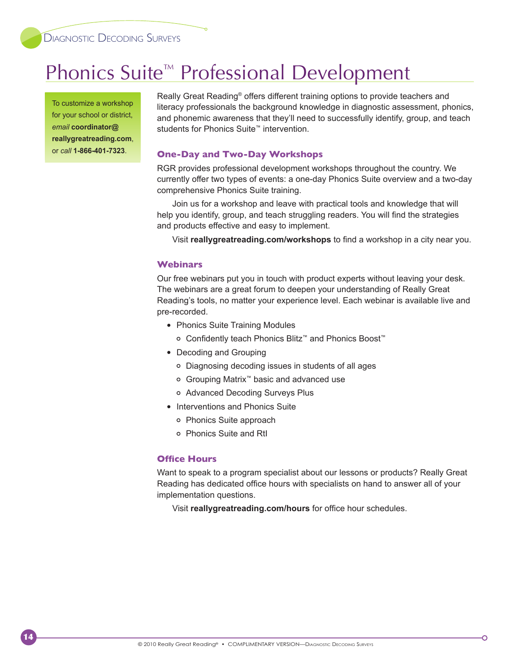#### Phonics Suite<sup>™</sup> Professional Development

To customize a workshop for your school or district, *email* **coordinator@ reallygreatreading.com**, or *call* **1-866-401-7323**.

14

Really Great Reading<sup>®</sup> offers different training options to provide teachers and literacy professionals the background knowledge in diagnostic assessment, phonics, and phonemic awareness that they'll need to successfully identify, group, and teach students for Phonics Suite™ intervention.

#### **One-Day and Two-Day Workshops**

RGR provides professional development workshops throughout the country. We currently offer two types of events: a one-day Phonics Suite overview and a two-day comprehensive Phonics Suite training.

Join us for a workshop and leave with practical tools and knowledge that will help you identify, group, and teach struggling readers. You will find the strategies and products effective and easy to implement.

Visit **reallygreatreading.com/workshops** to find a workshop in a city near you.

#### **Webinars**

Our free webinars put you in touch with product experts without leaving your desk. The webinars are a great forum to deepen your understanding of Really Great Reading's tools, no matter your experience level. Each webinar is available live and pre-recorded.

- Phonics Suite Training Modules
	- Confidently teach Phonics Blitz™ and Phonics Boost™
- Decoding and Grouping
	- Diagnosing decoding issues in students of all ages
	- Grouping Matrix™ basic and advanced use
	- Advanced Decoding Surveys Plus
- Interventions and Phonics Suite
	- o Phonics Suite approach
	- Phonics Suite and RtI

#### **Office Hours**

Want to speak to a program specialist about our lessons or products? Really Great Reading has dedicated office hours with specialists on hand to answer all of your implementation questions.

Visit **reallygreatreading.com/hours** for office hour schedules.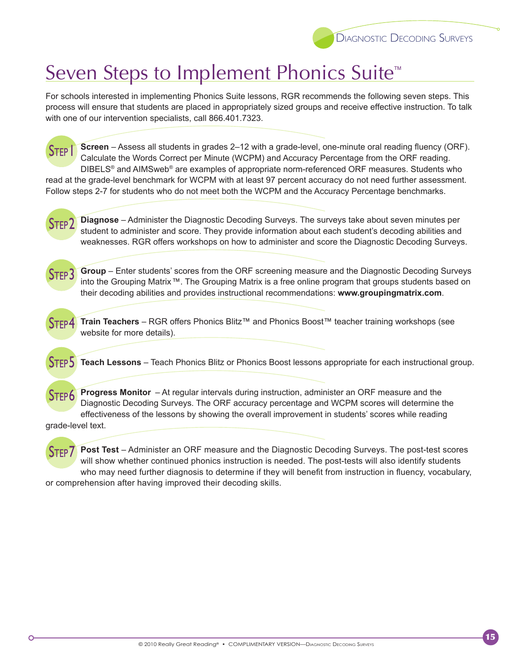

#### Seven Steps to Implement Phonics Suite<sup>™</sup>

For schools interested in implementing Phonics Suite lessons, RGR recommends the following seven steps. This process will ensure that students are placed in appropriately sized groups and receive effective instruction. To talk with one of our intervention specialists, call 866.401.7323.

Step 1 **Screen** – Assess all students in grades 2–12 with a grade-level, one-minute oral reading fluency (ORF). Calculate the Words Correct per Minute (WCPM) and Accuracy Percentage from the ORF reading. DIBELS® and AIMSweb® are examples of appropriate norm-referenced ORF measures. Students who read at the grade-level benchmark for WCPM with at least 97 percent accuracy do not need further assessment. Follow steps 2-7 for students who do not meet both the WCPM and the Accuracy Percentage benchmarks.

Step 2 **Diagnose** – Administer the Diagnostic Decoding Surveys. The surveys take about seven minutes per student to administer and score. They provide information about each student's decoding abilities and weaknesses. RGR offers workshops on how to administer and score the Diagnostic Decoding Surveys.

STFP<sup>3</sup> **Group** – Enter students' scores from the ORF screening measure and the Diagnostic Decoding Surveys into the Grouping Matrix ™. The Grouping Matrix is a free online program that groups students based on their decoding abilities and provides instructional recommendations: **www.groupingmatrix.com**.



**Train Teachers** – RGR offers Phonics Blitz™ and Phonics Boost™ teacher training workshops (see website for more details).

Step 5 **Teach Lessons** – Teach Phonics Blitz or Phonics Boost lessons appropriate for each instructional group.

Step 6 **Progress Monitor** – At regular intervals during instruction, administer an ORF measure and the Diagnostic Decoding Surveys. The ORF accuracy percentage and WCPM scores will determine the effectiveness of the lessons by showing the overall improvement in students' scores while reading

grade-level text.

STEP<sub>7</sub> **Post Test** – Administer an ORF measure and the Diagnostic Decoding Surveys. The post-test scores will show whether continued phonics instruction is needed. The post-tests will also identify students who may need further diagnosis to determine if they will benefit from instruction in fluency, vocabulary, or comprehension after having improved their decoding skills.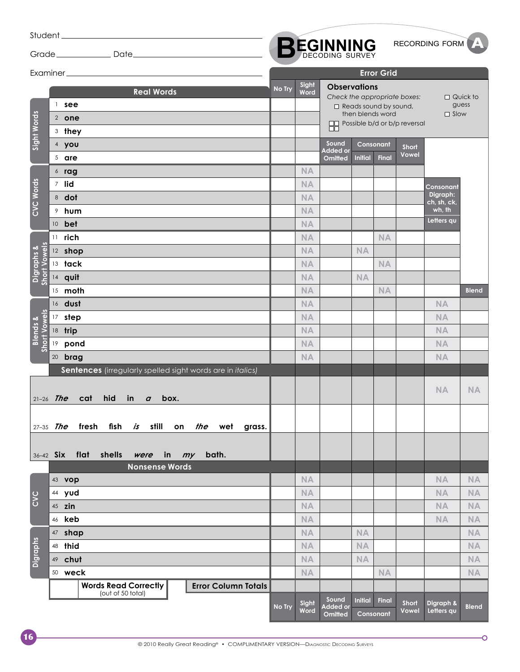|                        |                                                                         |        |               |                                   |                |                                                  |                                                                        | RECORDING FORM <b>A</b> |                          |
|------------------------|-------------------------------------------------------------------------|--------|---------------|-----------------------------------|----------------|--------------------------------------------------|------------------------------------------------------------------------|-------------------------|--------------------------|
|                        |                                                                         |        |               | <b>BEGINNING</b>                  |                |                                                  |                                                                        |                         |                          |
|                        |                                                                         |        |               |                                   |                | <b>Error Grid</b>                                |                                                                        |                         |                          |
| Sight Words            | <b>Real Words</b><br>$\frac{1}{2}$ see<br>2 one<br>3 they               | No Try | Sight<br>Word | <b>Observations</b>               |                | $\Box$ Reads sound by sound,<br>then blends word | Check the appropriate boxes:<br><b>OD</b> Possible b/d or b/p reversal | $\Box$ Slow             | $\Box$ Quick to<br>guess |
|                        | 4 you                                                                   |        |               | Sound<br><b>Added or</b>          |                | Consonant                                        | <b>Short</b><br>Vowel                                                  |                         |                          |
|                        | 5 are                                                                   |        | <b>NA</b>     | Omitted                           | <b>Initial</b> | <b>Final</b>                                     |                                                                        |                         |                          |
|                        | $6$ rag<br>7 lid                                                        |        | <b>NA</b>     |                                   |                |                                                  |                                                                        |                         |                          |
| CVC Words              | 8 dot                                                                   |        | <b>NA</b>     |                                   |                |                                                  |                                                                        | Consonant<br>Digraph:   |                          |
|                        | <sup>9</sup> hum                                                        |        | <b>NA</b>     |                                   |                |                                                  |                                                                        | ch, sh, ck,<br>wh, th   |                          |
|                        | 10 <b>bet</b>                                                           |        | <b>NA</b>     |                                   |                |                                                  |                                                                        | Letters qu              |                          |
|                        | $11$ rich                                                               |        | <b>NA</b>     |                                   |                | <b>NA</b>                                        |                                                                        |                         |                          |
|                        | 12 shop                                                                 |        | <b>NA</b>     |                                   | <b>NA</b>      |                                                  |                                                                        |                         |                          |
| l Vowels<br>Digraphs & | $13$ tack                                                               |        | <b>NA</b>     |                                   |                | <b>NA</b>                                        |                                                                        |                         |                          |
| Short                  | 14 quit                                                                 |        | <b>NA</b>     |                                   | <b>NA</b>      |                                                  |                                                                        |                         |                          |
|                        | $15$ moth                                                               |        | <b>NA</b>     |                                   |                | <b>NA</b>                                        |                                                                        |                         | <b>Blend</b>             |
|                        | 16 dust                                                                 |        | <b>NA</b>     |                                   |                |                                                  |                                                                        | <b>NA</b>               |                          |
| <b>Short Vowels</b>    | 17 step                                                                 |        | <b>NA</b>     |                                   |                |                                                  |                                                                        | <b>NA</b>               |                          |
| <b>Blends &amp;</b>    | 18 trip                                                                 |        | <b>NA</b>     |                                   |                |                                                  |                                                                        | <b>NA</b>               |                          |
|                        | 19 pond                                                                 |        | <b>NA</b>     |                                   |                |                                                  |                                                                        | <b>NA</b>               |                          |
|                        | 20 <b>brag</b>                                                          |        | <b>NA</b>     |                                   |                |                                                  |                                                                        | <b>NA</b>               |                          |
|                        | Sentences (irregularly spelled sight words are in italics)              |        |               |                                   |                |                                                  |                                                                        |                         |                          |
|                        | hid<br>$21-26$ The<br>cat<br>in<br>box.<br>$\boldsymbol{a}$             |        |               |                                   |                |                                                  |                                                                        | <b>NA</b>               | <b>NA</b>                |
|                        | $27 - 35$ The<br>fresh fish <i>is</i> still on <i>the</i> wet<br>grass. |        |               |                                   |                |                                                  |                                                                        |                         |                          |
|                        |                                                                         |        |               |                                   |                |                                                  |                                                                        |                         |                          |
|                        | 36-42 Six flat shells<br>were in my bath.                               |        |               |                                   |                |                                                  |                                                                        |                         |                          |
|                        | <b>Nonsense Words</b>                                                   |        |               |                                   |                |                                                  |                                                                        |                         |                          |
|                        | 43 vop                                                                  |        | <b>NA</b>     |                                   |                |                                                  |                                                                        | <b>NA</b>               | <b>NA</b>                |
| CVC                    | 44 yud                                                                  |        | <b>NA</b>     |                                   |                |                                                  |                                                                        | <b>NA</b>               | <b>NA</b>                |
|                        | 45 zin                                                                  |        | <b>NA</b>     |                                   |                |                                                  |                                                                        | <b>NA</b>               | <b>NA</b>                |
|                        | 46 <b>keb</b>                                                           |        | <b>NA</b>     |                                   |                |                                                  |                                                                        | <b>NA</b>               | <b>NA</b>                |
|                        | 47 shap                                                                 |        | <b>NA</b>     |                                   | <b>NA</b>      |                                                  |                                                                        |                         | <b>NA</b>                |
| <b>Digraphs</b>        | 48 thid                                                                 |        | <b>NA</b>     |                                   | <b>NA</b>      |                                                  |                                                                        |                         | <b>NA</b>                |
|                        | 49 chut                                                                 |        | <b>NA</b>     |                                   | <b>NA</b>      |                                                  |                                                                        |                         | <b>NA</b>                |
|                        | 50 weck<br><b>Words Read Correctly</b><br><b>Error Column Totals</b>    |        | <b>NA</b>     |                                   |                | <b>NA</b>                                        |                                                                        |                         | <b>NA</b>                |
|                        | (out of 50 total)                                                       |        |               | Sound                             |                |                                                  |                                                                        |                         |                          |
|                        |                                                                         | No Try | Sight<br>Word | <b>Added</b> or<br><b>Omitted</b> | <b>Initial</b> | Final<br>Consonant                               | <b>Short</b><br>Vowel                                                  | Digraph &<br>Letters qu | <b>Blend</b>             |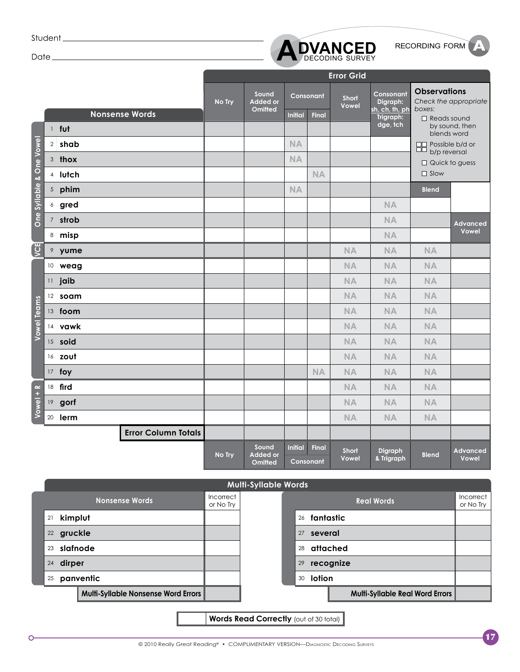Student<sub>\_\_\_\_\_\_\_\_\_\_\_\_\_</sub>

Date\_



|                          |                 |                            |        |                                            |                |                    | <b>Error Grid</b>     |                             |                                        |                          |
|--------------------------|-----------------|----------------------------|--------|--------------------------------------------|----------------|--------------------|-----------------------|-----------------------------|----------------------------------------|--------------------------|
|                          |                 |                            | No Try | Sound<br><b>Added or</b>                   |                | Consonant          | <b>Short</b><br>Vowel | Consonant<br>Digraph:       | <b>Observations</b>                    | Check the appropriate    |
|                          |                 | <b>Nonsense Words</b>      |        | <b>Omitted</b>                             | <b>Initial</b> | <b>Final</b>       |                       | sh, ch, th, ph<br>Trigraph: | boxes:<br>Reads sound                  |                          |
|                          |                 | 1 fut                      |        |                                            |                |                    |                       | dge, tch                    | blends word                            | by sound, then           |
|                          |                 | 2 shab                     |        |                                            | NA             |                    |                       |                             | $\Box$ Possible b/d or<br>b/p reversal |                          |
|                          |                 | 3 thox                     |        |                                            | <b>NA</b>      |                    |                       |                             | $\Box$ Quick to guess                  |                          |
|                          |                 | 4 lutch                    |        |                                            |                | <b>NA</b>          |                       |                             | $\Box$ Slow                            |                          |
| One Syllable & One Vowel |                 | 5 phim                     |        |                                            | <b>NA</b>      |                    |                       |                             | <b>Blend</b>                           |                          |
|                          |                 | 6 gred                     |        |                                            |                |                    |                       | <b>NA</b>                   |                                        |                          |
|                          |                 | 7 strob                    |        |                                            |                |                    |                       | <b>NA</b>                   |                                        | <b>Advanced</b>          |
|                          |                 | 8 misp                     |        |                                            |                |                    |                       | <b>NA</b>                   |                                        | Vowel                    |
| <b>ED</b>                |                 | 9 yume                     |        |                                            |                |                    | <b>NA</b>             | <b>NA</b>                   | <b>NA</b>                              |                          |
|                          |                 | 10 weag                    |        |                                            |                |                    | <b>NA</b>             | <b>NA</b>                   | <b>NA</b>                              |                          |
|                          |                 | 11 jaib                    |        |                                            |                |                    | <b>NA</b>             | <b>NA</b>                   | <b>NA</b>                              |                          |
|                          |                 | 12 soam                    |        |                                            |                |                    | <b>NA</b>             | <b>NA</b>                   | <b>NA</b>                              |                          |
|                          |                 | 13 foom                    |        |                                            |                |                    | <b>NA</b>             | <b>NA</b>                   | <b>NA</b>                              |                          |
| <b>Vowel Teams</b>       |                 | 14 vawk                    |        |                                            |                |                    | <b>NA</b>             | <b>NA</b>                   | <b>NA</b>                              |                          |
|                          |                 | 15 soid                    |        |                                            |                |                    | <b>NA</b>             | <b>NA</b>                   | <b>NA</b>                              |                          |
|                          |                 | 16 zout                    |        |                                            |                |                    | <b>NA</b>             | <b>NA</b>                   | <b>NA</b>                              |                          |
|                          |                 | 17 foy                     |        |                                            |                | <b>NA</b>          | <b>NA</b>             | <b>NA</b>                   | <b>NA</b>                              |                          |
|                          |                 | 18 fird                    |        |                                            |                |                    | <b>NA</b>             | <b>NA</b>                   | NA                                     |                          |
| Vowel + R                | 19 <sup>°</sup> | gorf                       |        |                                            |                |                    | <b>NA</b>             | <b>NA</b>                   | <b>NA</b>                              |                          |
|                          |                 | 20 <b>lerm</b>             |        |                                            |                |                    | <b>NA</b>             | <b>NA</b>                   | <b>NA</b>                              |                          |
|                          |                 | <b>Error Column Totals</b> |        |                                            |                |                    |                       |                             |                                        |                          |
|                          |                 |                            | No Try | Sound<br><b>Added or</b><br><b>Omitted</b> | <b>Initial</b> | Final<br>Consonant | <b>Short</b><br>Vowel | Digraph<br>& Trigraph       | <b>Blend</b>                           | <b>Advanced</b><br>Vowel |



**Words Read Correctly (out of 30 total)**